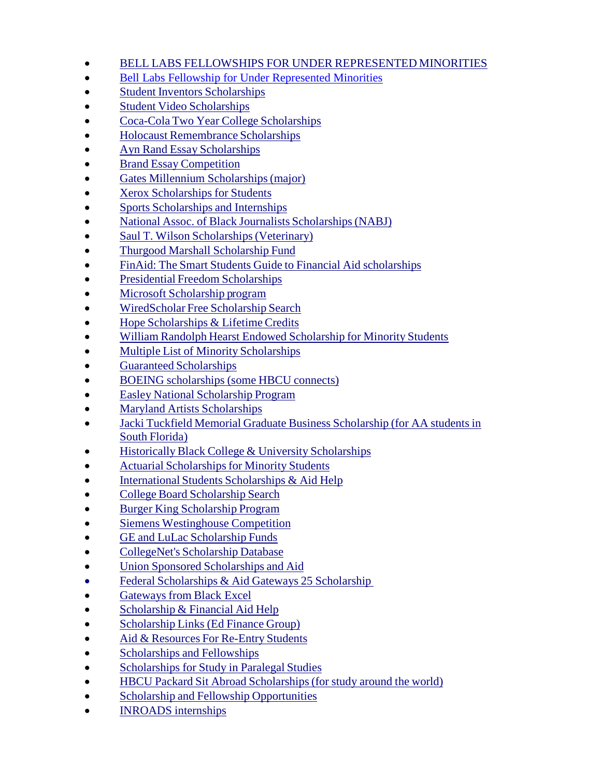- BELL LABS FELLOWSHIPS FOR UNDER REPRESENTED MINORITIES
- [Bell Labs Fellowship for Under Represented Minorities](http://www.usca.edu/intercultural/pdf/Scholarships.pdf)
- Student Inventors [Scholarships](http://www.invent.org/collegiate/)
- Student Video [Scholarships](http://www.christophers.org/vidcon2k.html)
- Coca-Cola Two Year College [Scholarships](http://www.coca-colascholars.org/programs.html)
- Holocaust Remembrance Scholarships
- Ayn Rand Essay [Scholarships](http://www.aynrand.org/contests/)
- Brand Essay [Competition](http://www.instituteforbrandleadership.org/IBLEssayContest-2002Rules.html)
- Gates Millennium [Scholarships\(major\)](http://www.gmsp.org/nominationmaterials/read.dbm?ID=12)
- Xerox [Scholarships](http://www2.xerox.com/go/xrx/about_xerox/about_xerox_detail.jsp) for Students
- Sports [Scholarships](http://www.ncaa.org/about/scholarships.html) and Internships
- National Assoc. of Black Journalists Scholarships (NABJ)
- Saul T. Wilson Scholarships (Veterinary)
- Thurgood Marshall [Scholarship](http://www.thurgoodmarshallfund.org/sk_v6.cfm) Fund
- FinAid: The Smart Students Guide to Financial Aid [scholarships](http://www.finaid.org/)
- Presidential Freedom [Scholarships](http://www.nationalservice.org/scholarships/)
- Microsoft [Scholarship](http://www.microsoft.com/college/scholarships/minority.asp) program
- [WiredScholar](http://www.wiredscholar.com/paying/scholarship_search/pay_scholarship_search.jsp) Free Scholarship Search
- Hope [Scholarships](http://www.ed.gov/inits/hope/) & Lifetime Credits
- William Randolph Hearst Endowed [Scholarship](http://www.apsanet.org/PS/grants/aspen3.cfm) for Minority Students
- $\bullet$  Multiple List of Minority [Scholarships](http://gehon.ir.miami.edu/financial-assistance/Scholarship/black.html)
- Guaranteed [Scholarships](http://www.guaranteed-scholarships.com/)
- BOEING [scholarships](http://www.boeing.com/companyoffices/educationrelations/scholarships) (some HBCU connects)
- Easley National [Scholarship](http://www.naas.org/senior.htm) Program
- Maryland Artists [Scholarships](http://www.maef.org/)
- Jacki Tuckfield Memorial Graduate Business [Scholarship](http://www.jackituckfield.org/) (for AA studentsin South [Florida\)](http://www.jackituckfield.org/)
- Historically Black College & University Scholarships
- Actuarial Scholarships for Minority Students
- International Students [Scholarships](http://www.iefa.org/) & Aid Help
- College Board [Scholarship](http://cbweb10p.collegeboard.org/fundfinder/html/fundfind01.html) Search
- Burger King [Scholarship](http://www.bkscholars.csfa.org/) Program
- Siemens [Westinghouse](http://www.siemens-foundation.org/) Competition
- GE and LuLac [Scholarship](http://www.lulac.org/Programs/Scholar.html) Funds
- [CollegeNet's](http://mach25.collegenet.com/cgi-bin/M25/index) Scholarship Database
- Union Sponsored [Scholarships](http://www.aflcio.org/scholarships/scholar.htm) and Aid
- Federal [Scholarships](http://www.blackexcel.org/25scholarships.htm) & Aid Gateways 25 Scholarship
- **[Gateways](http://www.blackexcel.org/25scholarships.htm) from Black [Excel](http://www.blackexcel.org/25scholarships.htm)**
- $\bullet$  [Scholarship](http://www.blackexcel.org/fin-sch.htm) & Financial Aid Help
- [Scholarship](http://www.efg.net/link_scholarship.htm) Links (Ed Finance Group)
- Aid & [Resources](http://www.back2college.com/) For Re-Entry Students
- [Scholarships](http://www.osc.cuny.edu/sep/links.html) and Fellowships
- [Scholarships](http://www.paralegals.org/Choice/2000west.htm) for Study in Paralegal Studies
- HBCU Packard Sit Abroad [Scholarships\(for](http://www.sit.edu/studyabroad/packard_nomination.html) study around the world)
- Scholarship and Fellowship [Opportunities](http://ccmi.uchicago.edu/schl1.html)
- [INROADS](http://www.inroads.org/) internships